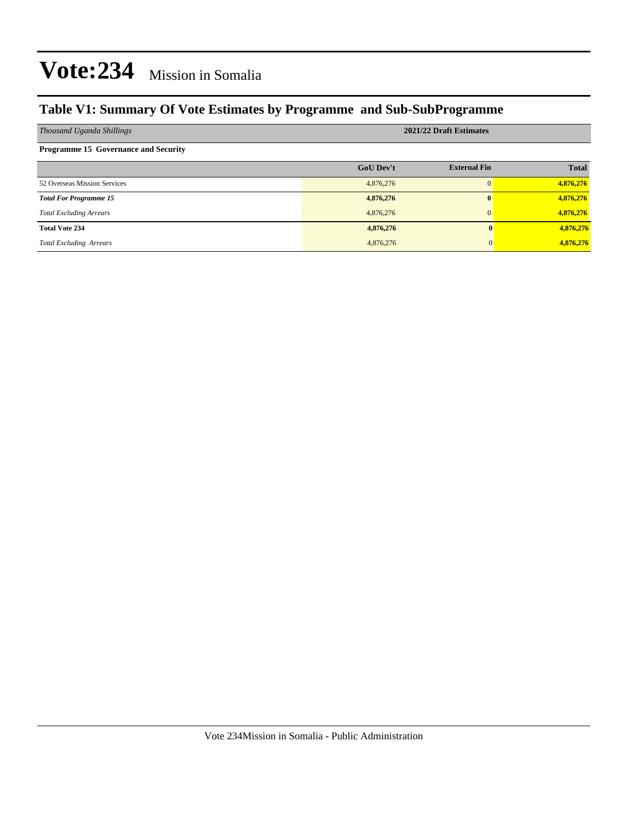### **Table V1: Summary Of Vote Estimates by Programme and Sub-SubProgramme**

| Thousand Uganda Shillings                   | 2021/22 Draft Estimates |                     |              |  |  |  |  |
|---------------------------------------------|-------------------------|---------------------|--------------|--|--|--|--|
| <b>Programme 15 Governance and Security</b> |                         |                     |              |  |  |  |  |
|                                             | <b>GoU Dev't</b>        | <b>External Fin</b> | <b>Total</b> |  |  |  |  |
| 52 Overseas Mission Services                | 4,876,276               | $\Omega$            | 4,876,276    |  |  |  |  |
| <b>Total For Programme 15</b>               | 4,876,276               | $\mathbf{0}$        | 4,876,276    |  |  |  |  |
| <b>Total Excluding Arrears</b>              | 4,876,276               | $\Omega$            | 4,876,276    |  |  |  |  |
| <b>Total Vote 234</b>                       | 4,876,276               |                     | 4,876,276    |  |  |  |  |
| <b>Total Excluding Arrears</b>              | 4,876,276               |                     | 4,876,276    |  |  |  |  |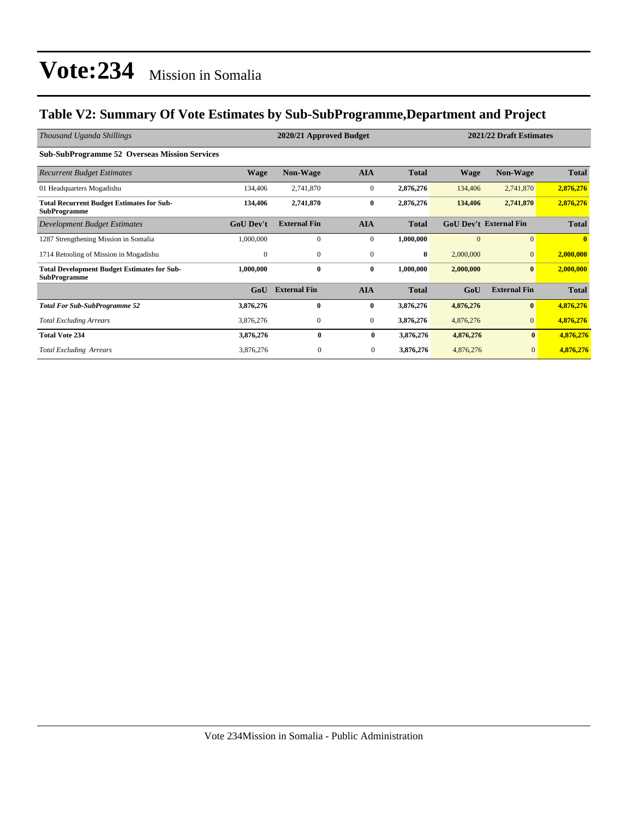### **Table V2: Summary Of Vote Estimates by Sub-SubProgramme,Department and Project**

| Thousand Uganda Shillings                                                 |                  | 2020/21 Approved Budget |                  | 2021/22 Draft Estimates |           |                               |              |
|---------------------------------------------------------------------------|------------------|-------------------------|------------------|-------------------------|-----------|-------------------------------|--------------|
| <b>Sub-SubProgramme 52 Overseas Mission Services</b>                      |                  |                         |                  |                         |           |                               |              |
| <b>Recurrent Budget Estimates</b>                                         | Wage             | <b>Non-Wage</b>         | <b>AIA</b>       | <b>Total</b>            | Wage      | <b>Non-Wage</b>               | <b>Total</b> |
| 01 Headquarters Mogadishu                                                 | 134,406          | 2,741,870               | $\boldsymbol{0}$ | 2,876,276               | 134,406   | 2,741,870                     | 2,876,276    |
| <b>Total Recurrent Budget Estimates for Sub-</b><br><b>SubProgramme</b>   | 134,406          | 2,741,870               | $\bf{0}$         | 2,876,276               | 134,406   | 2,741,870                     | 2,876,276    |
| Development Budget Estimates                                              | <b>GoU Dev't</b> | <b>External Fin</b>     | <b>AIA</b>       | <b>Total</b>            |           | <b>GoU Dev't External Fin</b> | <b>Total</b> |
| 1287 Strengthening Mission in Somalia                                     | 1,000,000        | $\mathbf{0}$            | $\mathbf{0}$     | 1,000,000               | $\Omega$  | $\Omega$                      | $\mathbf{0}$ |
| 1714 Retooling of Mission in Mogadishu                                    | $\mathbf{0}$     | $\mathbf{0}$            | $\mathbf{0}$     | $\bf{0}$                | 2,000,000 | $\Omega$                      | 2,000,000    |
| <b>Total Development Budget Estimates for Sub-</b><br><b>SubProgramme</b> | 1,000,000        | $\bf{0}$                | $\bf{0}$         | 1,000,000               | 2,000,000 | $\bf{0}$                      | 2,000,000    |
|                                                                           | GoU              | <b>External Fin</b>     | <b>AIA</b>       | <b>Total</b>            | GoU       | <b>External Fin</b>           | <b>Total</b> |
| <b>Total For Sub-SubProgramme 52</b>                                      | 3,876,276        | $\bf{0}$                | $\bf{0}$         | 3,876,276               | 4,876,276 | $\bf{0}$                      | 4,876,276    |
| <b>Total Excluding Arrears</b>                                            | 3,876,276        | $\mathbf{0}$            | $\mathbf{0}$     | 3,876,276               | 4,876,276 | $\overline{0}$                | 4,876,276    |
| <b>Total Vote 234</b>                                                     | 3,876,276        | $\bf{0}$                | $\bf{0}$         | 3,876,276               | 4,876,276 | $\bf{0}$                      | 4,876,276    |
| <b>Total Excluding Arrears</b>                                            | 3,876,276        | $\mathbf{0}$            | $\mathbf{0}$     | 3,876,276               | 4,876,276 | $\mathbf{0}$                  | 4,876,276    |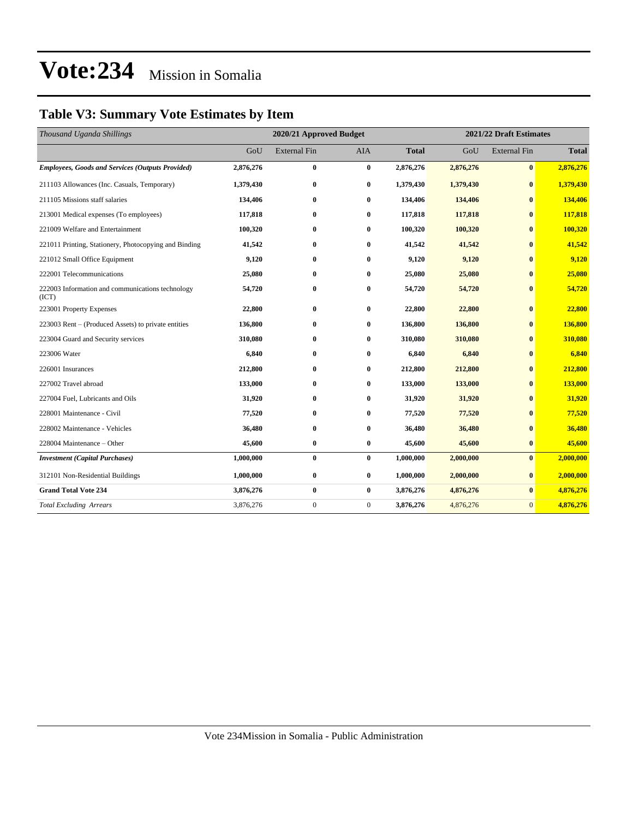### **Table V3: Summary Vote Estimates by Item**

| Thousand Uganda Shillings                                 | 2020/21 Approved Budget |                     |              |              | 2021/22 Draft Estimates |                     |              |  |
|-----------------------------------------------------------|-------------------------|---------------------|--------------|--------------|-------------------------|---------------------|--------------|--|
|                                                           | GoU                     | <b>External Fin</b> | <b>AIA</b>   | <b>Total</b> | GoU                     | <b>External Fin</b> | <b>Total</b> |  |
| <b>Employees, Goods and Services (Outputs Provided)</b>   | 2,876,276               | $\bf{0}$            | $\bf{0}$     | 2,876,276    | 2,876,276               | $\bf{0}$            | 2,876,276    |  |
| 211103 Allowances (Inc. Casuals, Temporary)               | 1,379,430               | $\bf{0}$            | $\bf{0}$     | 1,379,430    | 1,379,430               | $\bf{0}$            | 1,379,430    |  |
| 211105 Missions staff salaries                            | 134,406                 | $\bf{0}$            | $\bf{0}$     | 134,406      | 134,406                 | $\bf{0}$            | 134,406      |  |
| 213001 Medical expenses (To employees)                    | 117,818                 | $\bf{0}$            | $\bf{0}$     | 117,818      | 117,818                 | $\mathbf{0}$        | 117,818      |  |
| 221009 Welfare and Entertainment                          | 100,320                 | $\bf{0}$            | $\bf{0}$     | 100,320      | 100,320                 | $\mathbf{0}$        | 100,320      |  |
| 221011 Printing, Stationery, Photocopying and Binding     | 41,542                  | $\bf{0}$            | $\bf{0}$     | 41,542       | 41,542                  | $\bf{0}$            | 41,542       |  |
| 221012 Small Office Equipment                             | 9,120                   | $\bf{0}$            | $\bf{0}$     | 9,120        | 9,120                   | $\bf{0}$            | 9,120        |  |
| 222001 Telecommunications                                 | 25,080                  | $\bf{0}$            | $\bf{0}$     | 25,080       | 25,080                  | $\bf{0}$            | 25,080       |  |
| 222003 Information and communications technology<br>(ICT) | 54,720                  | $\bf{0}$            | 0            | 54,720       | 54,720                  | $\bf{0}$            | 54,720       |  |
| 223001 Property Expenses                                  | 22,800                  | $\bf{0}$            | $\bf{0}$     | 22,800       | 22,800                  | $\bf{0}$            | 22,800       |  |
| 223003 Rent – (Produced Assets) to private entities       | 136,800                 | $\bf{0}$            | $\bf{0}$     | 136,800      | 136,800                 | $\bf{0}$            | 136,800      |  |
| 223004 Guard and Security services                        | 310,080                 | $\bf{0}$            | $\mathbf{0}$ | 310,080      | 310,080                 | $\mathbf{0}$        | 310,080      |  |
| 223006 Water                                              | 6.840                   | $\bf{0}$            | $\bf{0}$     | 6,840        | 6,840                   | $\bf{0}$            | 6,840        |  |
| 226001 Insurances                                         | 212,800                 | $\bf{0}$            | $\bf{0}$     | 212,800      | 212,800                 | $\bf{0}$            | 212,800      |  |
| 227002 Travel abroad                                      | 133,000                 | $\bf{0}$            | $\bf{0}$     | 133,000      | 133,000                 | $\bf{0}$            | 133,000      |  |
| 227004 Fuel, Lubricants and Oils                          | 31,920                  | $\bf{0}$            | $\bf{0}$     | 31,920       | 31,920                  | $\bf{0}$            | 31,920       |  |
| 228001 Maintenance - Civil                                | 77,520                  | $\bf{0}$            | 0            | 77,520       | 77,520                  | $\mathbf{0}$        | 77,520       |  |
| 228002 Maintenance - Vehicles                             | 36,480                  | $\bf{0}$            | $\bf{0}$     | 36,480       | 36,480                  | $\mathbf{0}$        | 36,480       |  |
| 228004 Maintenance – Other                                | 45,600                  | $\bf{0}$            | $\bf{0}$     | 45,600       | 45,600                  | $\bf{0}$            | 45,600       |  |
| <b>Investment</b> (Capital Purchases)                     | 1,000,000               | $\bf{0}$            | $\bf{0}$     | 1,000,000    | 2,000,000               | $\bf{0}$            | 2,000,000    |  |
| 312101 Non-Residential Buildings                          | 1,000,000               | $\bf{0}$            | $\bf{0}$     | 1,000,000    | 2,000,000               | $\bf{0}$            | 2,000,000    |  |
| <b>Grand Total Vote 234</b>                               | 3,876,276               | $\bf{0}$            | $\bf{0}$     | 3,876,276    | 4,876,276               | $\bf{0}$            | 4,876,276    |  |
| <b>Total Excluding Arrears</b>                            | 3,876,276               | $\boldsymbol{0}$    | $\mathbf{0}$ | 3,876,276    | 4,876,276               | $\mathbf{0}$        | 4,876,276    |  |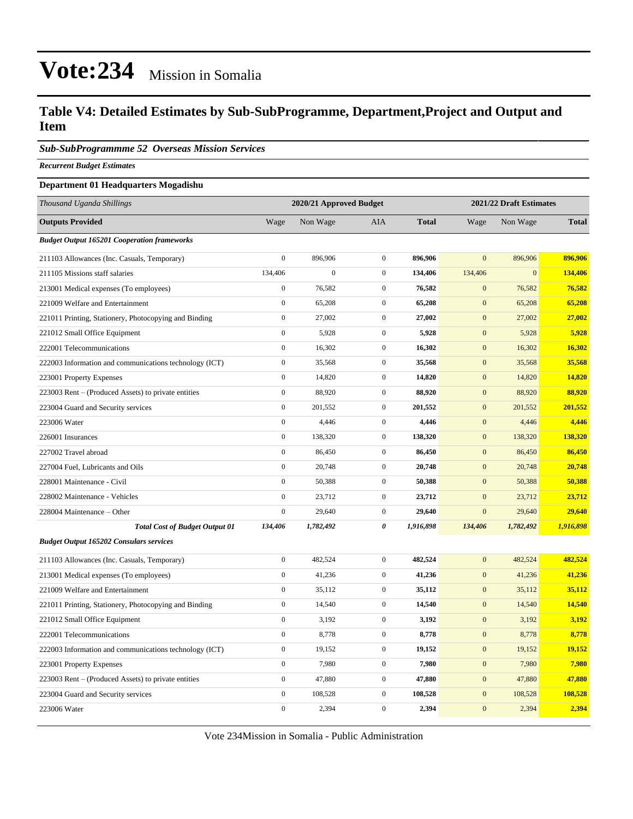#### **Table V4: Detailed Estimates by Sub-SubProgramme, Department,Project and Output and Item**

*Sub-SubProgrammme 52 Overseas Mission Services*

*Recurrent Budget Estimates*

#### **Department 01 Headquarters Mogadishu**

| Thousand Uganda Shillings                              | 2020/21 Approved Budget |                  |                  |              | 2021/22 Draft Estimates |              |              |
|--------------------------------------------------------|-------------------------|------------------|------------------|--------------|-------------------------|--------------|--------------|
| <b>Outputs Provided</b>                                | Wage                    | Non Wage         | AIA              | <b>Total</b> | Wage                    | Non Wage     | <b>Total</b> |
| <b>Budget Output 165201 Cooperation frameworks</b>     |                         |                  |                  |              |                         |              |              |
| 211103 Allowances (Inc. Casuals, Temporary)            | $\boldsymbol{0}$        | 896,906          | $\mathbf{0}$     | 896,906      | $\mathbf{0}$            | 896,906      | 896,906      |
| 211105 Missions staff salaries                         | 134,406                 | $\boldsymbol{0}$ | $\boldsymbol{0}$ | 134,406      | 134,406                 | $\mathbf{0}$ | 134,406      |
| 213001 Medical expenses (To employees)                 | $\overline{0}$          | 76,582           | $\mathbf{0}$     | 76,582       | $\overline{0}$          | 76,582       | 76,582       |
| 221009 Welfare and Entertainment                       | $\boldsymbol{0}$        | 65,208           | $\boldsymbol{0}$ | 65,208       | $\mathbf{0}$            | 65,208       | 65,208       |
| 221011 Printing, Stationery, Photocopying and Binding  | $\overline{0}$          | 27,002           | $\mathbf 0$      | 27,002       | $\mathbf{0}$            | 27,002       | 27,002       |
| 221012 Small Office Equipment                          | $\boldsymbol{0}$        | 5,928            | $\boldsymbol{0}$ | 5,928        | $\mathbf{0}$            | 5,928        | 5,928        |
| 222001 Telecommunications                              | $\boldsymbol{0}$        | 16,302           | $\mathbf{0}$     | 16,302       | $\mathbf{0}$            | 16,302       | 16,302       |
| 222003 Information and communications technology (ICT) | $\boldsymbol{0}$        | 35,568           | $\boldsymbol{0}$ | 35,568       | $\boldsymbol{0}$        | 35,568       | 35,568       |
| 223001 Property Expenses                               | $\boldsymbol{0}$        | 14,820           | $\mathbf 0$      | 14,820       | $\mathbf{0}$            | 14,820       | 14,820       |
| 223003 Rent – (Produced Assets) to private entities    | $\boldsymbol{0}$        | 88,920           | $\boldsymbol{0}$ | 88,920       | $\boldsymbol{0}$        | 88,920       | 88,920       |
| 223004 Guard and Security services                     | $\boldsymbol{0}$        | 201,552          | $\mathbf{0}$     | 201,552      | $\mathbf{0}$            | 201,552      | 201,552      |
| 223006 Water                                           | $\boldsymbol{0}$        | 4,446            | $\boldsymbol{0}$ | 4,446        | $\boldsymbol{0}$        | 4,446        | 4,446        |
| 226001 Insurances                                      | $\boldsymbol{0}$        | 138,320          | $\mathbf{0}$     | 138,320      | $\mathbf{0}$            | 138,320      | 138,320      |
| 227002 Travel abroad                                   | $\boldsymbol{0}$        | 86,450           | $\boldsymbol{0}$ | 86,450       | $\mathbf{0}$            | 86,450       | 86,450       |
| 227004 Fuel, Lubricants and Oils                       | $\boldsymbol{0}$        | 20,748           | $\mathbf{0}$     | 20,748       | $\boldsymbol{0}$        | 20,748       | 20,748       |
| 228001 Maintenance - Civil                             | $\overline{0}$          | 50,388           | $\boldsymbol{0}$ | 50,388       | $\mathbf{0}$            | 50,388       | 50,388       |
| 228002 Maintenance - Vehicles                          | $\boldsymbol{0}$        | 23,712           | $\boldsymbol{0}$ | 23,712       | $\boldsymbol{0}$        | 23,712       | 23,712       |
| 228004 Maintenance – Other                             | $\boldsymbol{0}$        | 29,640           | $\mathbf{0}$     | 29,640       | $\mathbf{0}$            | 29,640       | 29,640       |
| <b>Total Cost of Budget Output 01</b>                  | 134,406                 | 1,782,492        | 0                | 1,916,898    | 134,406                 | 1,782,492    | 1,916,898    |
| <b>Budget Output 165202 Consulars services</b>         |                         |                  |                  |              |                         |              |              |
| 211103 Allowances (Inc. Casuals, Temporary)            | $\boldsymbol{0}$        | 482,524          | $\boldsymbol{0}$ | 482,524      | $\boldsymbol{0}$        | 482,524      | 482,524      |
| 213001 Medical expenses (To employees)                 | $\boldsymbol{0}$        | 41,236           | $\mathbf 0$      | 41,236       | $\mathbf{0}$            | 41,236       | 41,236       |
| 221009 Welfare and Entertainment                       | $\overline{0}$          | 35,112           | $\boldsymbol{0}$ | 35,112       | $\boldsymbol{0}$        | 35,112       | 35,112       |
| 221011 Printing, Stationery, Photocopying and Binding  | $\boldsymbol{0}$        | 14,540           | $\boldsymbol{0}$ | 14,540       | $\mathbf{0}$            | 14,540       | 14,540       |
| 221012 Small Office Equipment                          | $\overline{0}$          | 3,192            | $\mathbf 0$      | 3,192        | $\mathbf{0}$            | 3,192        | 3,192        |
| 222001 Telecommunications                              | $\boldsymbol{0}$        | 8,778            | $\boldsymbol{0}$ | 8,778        | $\boldsymbol{0}$        | 8,778        | 8,778        |
| 222003 Information and communications technology (ICT) | $\boldsymbol{0}$        | 19,152           | $\mathbf 0$      | 19,152       | $\mathbf{0}$            | 19,152       | 19,152       |
| 223001 Property Expenses                               | $\boldsymbol{0}$        | 7,980            | $\mathbf{0}$     | 7,980        | $\boldsymbol{0}$        | 7,980        | 7,980        |
| 223003 Rent – (Produced Assets) to private entities    | $\boldsymbol{0}$        | 47,880           | $\mathbf{0}$     | 47,880       | $\mathbf{0}$            | 47,880       | 47,880       |
| 223004 Guard and Security services                     | $\boldsymbol{0}$        | 108,528          | $\boldsymbol{0}$ | 108,528      | $\boldsymbol{0}$        | 108,528      | 108,528      |
| 223006 Water                                           | $\boldsymbol{0}$        | 2,394            | $\boldsymbol{0}$ | 2,394        | $\mathbf{0}$            | 2,394        | 2,394        |

Vote 234Mission in Somalia - Public Administration